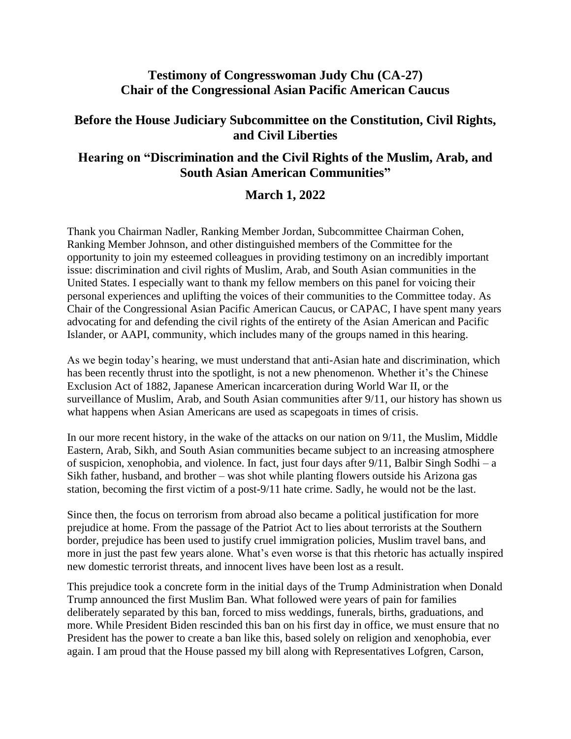## **Testimony of Congresswoman Judy Chu (CA-27) Chair of the Congressional Asian Pacific American Caucus**

## **Before the House Judiciary Subcommittee on the Constitution, Civil Rights, and Civil Liberties**

## **Hearing on "Discrimination and the Civil Rights of the Muslim, Arab, and South Asian American Communities"**

## **March 1, 2022**

Thank you Chairman Nadler, Ranking Member Jordan, Subcommittee Chairman Cohen, Ranking Member Johnson, and other distinguished members of the Committee for the opportunity to join my esteemed colleagues in providing testimony on an incredibly important issue: discrimination and civil rights of Muslim, Arab, and South Asian communities in the United States. I especially want to thank my fellow members on this panel for voicing their personal experiences and uplifting the voices of their communities to the Committee today. As Chair of the Congressional Asian Pacific American Caucus, or CAPAC, I have spent many years advocating for and defending the civil rights of the entirety of the Asian American and Pacific Islander, or AAPI, community, which includes many of the groups named in this hearing.

As we begin today's hearing, we must understand that anti-Asian hate and discrimination, which has been recently thrust into the spotlight, is not a new phenomenon. Whether it's the Chinese Exclusion Act of 1882, Japanese American incarceration during World War II, or the surveillance of Muslim, Arab, and South Asian communities after 9/11, our history has shown us what happens when Asian Americans are used as scapegoats in times of crisis.

In our more recent history, in the wake of the attacks on our nation on 9/11, the Muslim, Middle Eastern, Arab, Sikh, and South Asian communities became subject to an increasing atmosphere of suspicion, xenophobia, and violence. In fact, just four days after 9/11, Balbir Singh Sodhi – a Sikh father, husband, and brother – was shot while planting flowers outside his Arizona gas station, becoming the first victim of a post-9/11 hate crime. Sadly, he would not be the last.

Since then, the focus on terrorism from abroad also became a political justification for more prejudice at home. From the passage of the Patriot Act to lies about terrorists at the Southern border, prejudice has been used to justify cruel immigration policies, Muslim travel bans, and more in just the past few years alone. What's even worse is that this rhetoric has actually inspired new domestic terrorist threats, and innocent lives have been lost as a result.

This prejudice took a concrete form in the initial days of the Trump Administration when Donald Trump announced the first Muslim Ban. What followed were years of pain for families deliberately separated by this ban, forced to miss weddings, funerals, births, graduations, and more. While President Biden rescinded this ban on his first day in office, we must ensure that no President has the power to create a ban like this, based solely on religion and xenophobia, ever again. I am proud that the House passed my bill along with Representatives Lofgren, Carson,